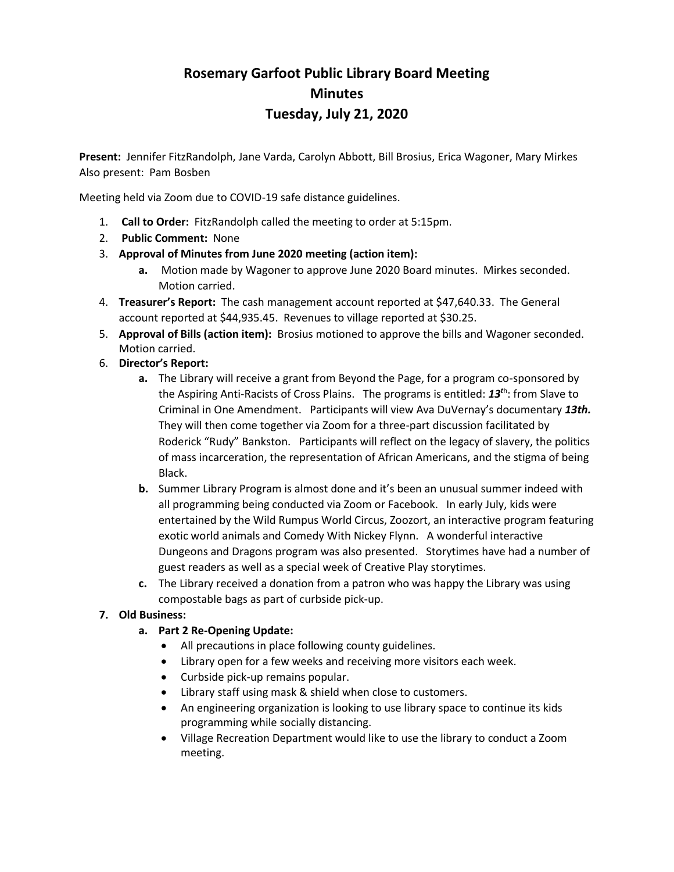# **Rosemary Garfoot Public Library Board Meeting Minutes Tuesday, July 21, 2020**

**Present:** Jennifer FitzRandolph, Jane Varda, Carolyn Abbott, Bill Brosius, Erica Wagoner, Mary Mirkes Also present: Pam Bosben

Meeting held via Zoom due to COVID-19 safe distance guidelines.

- 1. **Call to Order:** FitzRandolph called the meeting to order at 5:15pm.
- 2. **Public Comment:** None
- 3. **Approval of Minutes from June 2020 meeting (action item):**
	- **a.** Motion made by Wagoner to approve June 2020 Board minutes. Mirkes seconded. Motion carried.
- 4. **Treasurer's Report:** The cash management account reported at \$47,640.33. The General account reported at \$44,935.45. Revenues to village reported at \$30.25.
- 5. **Approval of Bills (action item):** Brosius motioned to approve the bills and Wagoner seconded. Motion carried.
- 6. **Director's Report:**
	- **a.** The Library will receive a grant from Beyond the Page, for a program co-sponsored by the Aspiring Anti-Racists of Cross Plains. The programs is entitled: *13<sup>t</sup>*<sup>h</sup> : from Slave to Criminal in One Amendment. Participants will view Ava DuVernay's documentary *13th.*  They will then come together via Zoom for a three-part discussion facilitated by Roderick "Rudy" Bankston. Participants will reflect on the legacy of slavery, the politics of mass incarceration, the representation of African Americans, and the stigma of being Black.
	- **b.** Summer Library Program is almost done and it's been an unusual summer indeed with all programming being conducted via Zoom or Facebook. In early July, kids were entertained by the Wild Rumpus World Circus, Zoozort, an interactive program featuring exotic world animals and Comedy With Nickey Flynn. A wonderful interactive Dungeons and Dragons program was also presented. Storytimes have had a number of guest readers as well as a special week of Creative Play storytimes.
	- **c.** The Library received a donation from a patron who was happy the Library was using compostable bags as part of curbside pick-up.

### **7. Old Business:**

- **a. Part 2 Re-Opening Update:**
	- All precautions in place following county guidelines.
	- Library open for a few weeks and receiving more visitors each week.
	- Curbside pick-up remains popular.
	- Library staff using mask & shield when close to customers.
	- An engineering organization is looking to use library space to continue its kids programming while socially distancing.
	- Village Recreation Department would like to use the library to conduct a Zoom meeting.